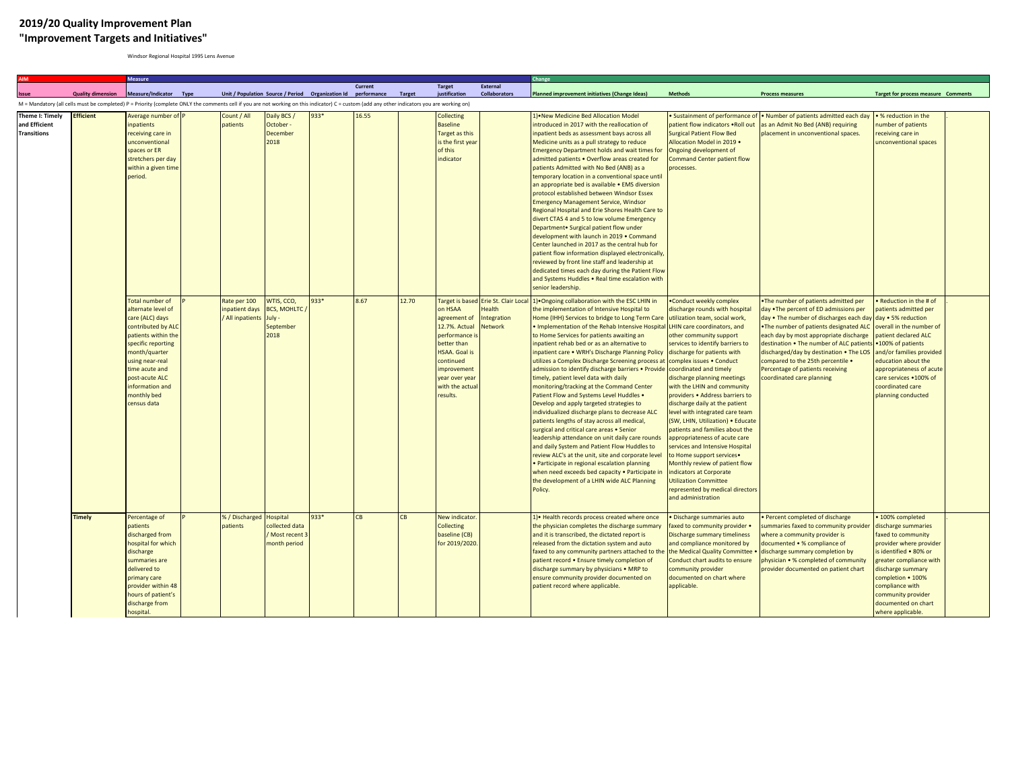## **2019/20 Quality Improvement Plan "Improvement Targets and Initiatives"**

Windsor Regional Hospital 1995 Lens Avenue

|                                                        |                          | <b>Measure</b>                                                                                                                                                                                                                                      |                                                  |                                                                 |                                                               |         |        |                                                                                                                                                                                                        |                                                                | Change                                                                                                                                                                                                                                                                                                                                                                                                                                                                                                                                                                                                                                                                                                                                                                                                                                                                                                                                                                                                                                                                                                                                                                                               |                                                                                                                                                                                                                                                                                                                                                                                                                                                                                                                                                                                                                                                                                       |                                                                                                                                                                                                                                                                                                                                                                                                                                                                           |                                                                                                                                                                                                                                                                              |  |
|--------------------------------------------------------|--------------------------|-----------------------------------------------------------------------------------------------------------------------------------------------------------------------------------------------------------------------------------------------------|--------------------------------------------------|-----------------------------------------------------------------|---------------------------------------------------------------|---------|--------|--------------------------------------------------------------------------------------------------------------------------------------------------------------------------------------------------------|----------------------------------------------------------------|------------------------------------------------------------------------------------------------------------------------------------------------------------------------------------------------------------------------------------------------------------------------------------------------------------------------------------------------------------------------------------------------------------------------------------------------------------------------------------------------------------------------------------------------------------------------------------------------------------------------------------------------------------------------------------------------------------------------------------------------------------------------------------------------------------------------------------------------------------------------------------------------------------------------------------------------------------------------------------------------------------------------------------------------------------------------------------------------------------------------------------------------------------------------------------------------------|---------------------------------------------------------------------------------------------------------------------------------------------------------------------------------------------------------------------------------------------------------------------------------------------------------------------------------------------------------------------------------------------------------------------------------------------------------------------------------------------------------------------------------------------------------------------------------------------------------------------------------------------------------------------------------------|---------------------------------------------------------------------------------------------------------------------------------------------------------------------------------------------------------------------------------------------------------------------------------------------------------------------------------------------------------------------------------------------------------------------------------------------------------------------------|------------------------------------------------------------------------------------------------------------------------------------------------------------------------------------------------------------------------------------------------------------------------------|--|
|                                                        |                          |                                                                                                                                                                                                                                                     |                                                  |                                                                 |                                                               | Current |        | <b>Target</b>                                                                                                                                                                                          | <b>External</b>                                                |                                                                                                                                                                                                                                                                                                                                                                                                                                                                                                                                                                                                                                                                                                                                                                                                                                                                                                                                                                                                                                                                                                                                                                                                      |                                                                                                                                                                                                                                                                                                                                                                                                                                                                                                                                                                                                                                                                                       |                                                                                                                                                                                                                                                                                                                                                                                                                                                                           |                                                                                                                                                                                                                                                                              |  |
|                                                        | <b>Quality dimension</b> | Measure/Indicator Type<br>M = Mandatory (all cells must be completed) P = Priority (complete ONLY the comments cell if you are not working on this indicator) C = custom (add any other indicators you are working on)                              |                                                  |                                                                 | Unit / Population Source / Period Organization Id performance |         | Target | justification                                                                                                                                                                                          | <b>Collaborators</b>                                           | Planned improvement initiatives (Change Ideas)                                                                                                                                                                                                                                                                                                                                                                                                                                                                                                                                                                                                                                                                                                                                                                                                                                                                                                                                                                                                                                                                                                                                                       | Methods                                                                                                                                                                                                                                                                                                                                                                                                                                                                                                                                                                                                                                                                               | <b>Process measures</b>                                                                                                                                                                                                                                                                                                                                                                                                                                                   | <b>Target for process measure Comments</b>                                                                                                                                                                                                                                   |  |
| Theme I: Timely<br>and Efficient<br><b>Transitions</b> | <b>Efficient</b>         | Average number of P<br>npatients<br>eceiving care in<br>unconventional<br>spaces or ER                                                                                                                                                              | Count / All<br>patients                          | Daily BCS /<br>October -<br>December<br>2018                    | 933*                                                          | 16.55   |        | <b>Collecting</b><br><b>Baseline</b><br>Target as this<br>is the first year<br>of this                                                                                                                 |                                                                | 1) . New Medicine Bed Allocation Model<br>introduced in 2017 with the reallocation of<br>inpatient beds as assessment bays across all<br>Medicine units as a pull strategy to reduce<br><b>Emergency Department holds and wait times for</b>                                                                                                                                                                                                                                                                                                                                                                                                                                                                                                                                                                                                                                                                                                                                                                                                                                                                                                                                                         | Sustainment of performance of<br>patient flow indicators .Roll out<br><b>Surgical Patient Flow Bed</b><br>Allocation Model in 2019 .<br>Ongoing development of                                                                                                                                                                                                                                                                                                                                                                                                                                                                                                                        | . Number of patients admitted each day<br>as an Admit No Bed (ANB) requiring<br>placement in unconventional spaces.                                                                                                                                                                                                                                                                                                                                                       | • % reduction in the<br>number of patients<br>receiving care in<br>unconventional spaces                                                                                                                                                                                     |  |
|                                                        |                          | stretchers per day<br>within a given time<br>period.                                                                                                                                                                                                |                                                  |                                                                 |                                                               |         |        | indicator                                                                                                                                                                                              |                                                                | admitted patients . Overflow areas created for<br>patients Admitted with No Bed (ANB) as a<br>temporary location in a conventional space until<br>an appropriate bed is available . EMS diversion<br>protocol established between Windsor Essex<br><b>Emergency Management Service, Windsor</b><br>Regional Hospital and Erie Shores Health Care to<br>divert CTAS 4 and 5 to low volume Emergency<br>Department. Surgical patient flow under<br>development with launch in 2019 . Command<br>Center launched in 2017 as the central hub for<br>patient flow information displayed electronically<br>reviewed by front line staff and leadership at<br>dedicated times each day during the Patient Flow<br>and Systems Huddles . Real time escalation with<br>senior leadership.                                                                                                                                                                                                                                                                                                                                                                                                                     | Command Center patient flow<br>processes.                                                                                                                                                                                                                                                                                                                                                                                                                                                                                                                                                                                                                                             |                                                                                                                                                                                                                                                                                                                                                                                                                                                                           |                                                                                                                                                                                                                                                                              |  |
|                                                        |                          | Total number of<br>alternate level of<br>care (ALC) days<br>contributed by ALC<br>patients within the<br>specific reporting<br>month/quarter<br>using near-real<br>time acute and<br>post-acute ALC<br>nformation and<br>monthly bed<br>census data | Rate per 100<br>inpatient days<br>All inpatients | WTIS, CCO,<br><b>BCS, MOHLTC</b><br>July -<br>September<br>2018 | 933*                                                          | 8.67    | 12.70  | <b>Target is based</b><br>on HSAA<br>agreement of<br>12.7%. Actual<br>performance i<br>better than<br><b>HSAA.</b> Goal is<br>continued<br>improvement<br>year over year<br>with the actua<br>results. | Erie St. Clair Local<br>Health<br>ntegration<br><b>Network</b> | 1) Ongoing collaboration with the ESC LHIN in<br>the implementation of Intensive Hospital to<br>Home (IHH) Services to bridge to Long Term Care utilization team, social work,<br>Implementation of the Rehab Intensive Hospital LHIN care coordinators, and<br>to Home Services for patients awaiting an<br>inpatient rehab bed or as an alternative to<br>inpatient care . WRH's Discharge Planning Policy<br>utilizes a Complex Discharge Screening process at complex issues . Conduct<br>admission to identify discharge barriers . Provide<br>timely, patient level data with daily<br>monitoring/tracking at the Command Center<br>Patient Flow and Systems Level Huddles .<br>Develop and apply targeted strategies to<br>individualized discharge plans to decrease ALC<br>patients lengths of stay across all medical,<br>surgical and critical care areas . Senior<br>leadership attendance on unit daily care rounds<br>and daily System and Patient Flow Huddles to<br>review ALC's at the unit, site and corporate level<br>· Participate in regional escalation planning<br>when need exceeds bed capacity . Participate in<br>the development of a LHIN wide ALC Planning<br>Policy. | .Conduct weekly complex<br>discharge rounds with hospital<br>other community support<br>services to identify barriers to<br>discharge for patients with<br>coordinated and timely<br>discharge planning meetings<br>with the LHIN and community<br>providers . Address barriers to<br>discharge daily at the patient<br>level with integrated care team<br>SW, LHIN, Utilization) · Educate<br>patients and families about the<br>appropriateness of acute care<br>services and Intensive Hospital<br>to Home support services.<br>Monthly review of patient flow<br>ndicators at Corporate<br><b>Jtilization Committee</b><br>represented by medical directors<br>and administration | . The number of patients admitted per<br>day .The percent of ED admissions per<br>day . The number of discharges each day day . 5% reduction<br>. The number of patients designated ALC<br>each day by most appropriate discharge<br>destination . The number of ALC patients .100% of patients<br>discharged/day by destination . The LOS and/or families provided<br>compared to the 25th percentile .<br>Percentage of patients receiving<br>coordinated care planning | Reduction in the # of<br>patients admitted per<br>overall in the number of<br>patient declared ALC<br>education about the<br>appropriateness of acut<br>care services .100% of<br>coordinated care<br>planning conducted                                                     |  |
|                                                        | <b>Timely</b>            | Percentage of<br><b>patients</b><br>discharged from<br>nospital for which<br>discharge<br>summaries are<br>delivered to<br>primary care<br>provider within 48<br>nours of patient's<br>discharge from<br>hospital.                                  | % / Discharged<br>patients                       | Hospital<br>collected data<br>Most recent<br>month period       | 933*                                                          | CB      |        | New indicator<br><b>Collecting</b><br>baseline (CB)<br>for 2019/2020                                                                                                                                   |                                                                | 1) • Health records process created where once<br>the physician completes the discharge summary<br>and it is transcribed, the dictated report is<br>released from the dictation system and auto<br>faxed to any community partners attached to the<br>patient record . Ensure timely completion of<br>discharge summary by physicians . MRP to<br>ensure community provider documented on<br>patient record where applicable.                                                                                                                                                                                                                                                                                                                                                                                                                                                                                                                                                                                                                                                                                                                                                                        | Discharge summaries auto<br>faxed to community provider .<br>Discharge summary timeliness<br>and compliance monitored by<br>the Medical Quality Committee<br>Conduct chart audits to ensure<br>community provider<br>documented on chart where<br>applicable.                                                                                                                                                                                                                                                                                                                                                                                                                         | Percent completed of discharge<br>ummaries faxed to community provider<br>where a community provider is<br>documented • % compliance of<br>discharge summary completion by<br>ohysician • % completed of community<br>provider documented on patient chart                                                                                                                                                                                                                | · 100% completed<br>discharge summaries<br>faxed to community<br>provider where provider<br>is identified . 80% or<br>greater compliance with<br>discharge summary<br>completion • 100%<br>compliance with<br>community provider<br>documented on chart<br>where applicable. |  |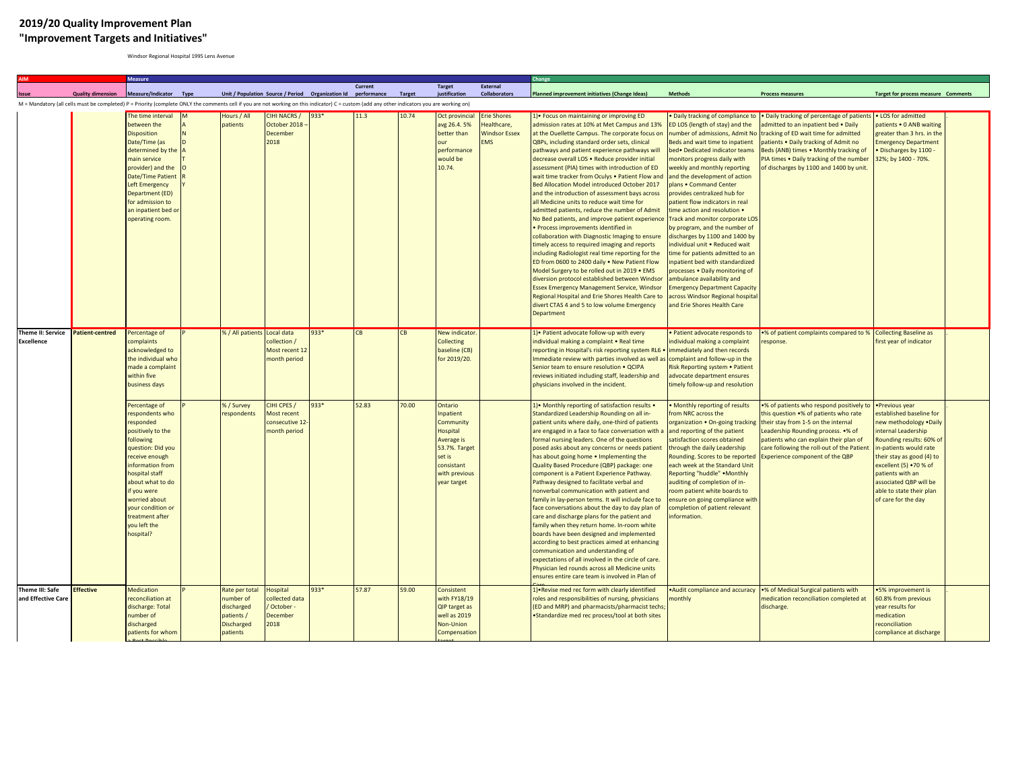## **2019/20 Quality Improvement Plan "Improvement Targets and Initiatives"**

Windsor Regional Hospital 1995 Lens Avenue

|                                                                                                                                                                                              |                          | Measure                                                                                                                                                                                                                                                                                                                                                                                                           |  |                                                                                          |                                                                                                                |              |             |               |                                                                                                                                                                                                             |                                                                        |                                                                                                                                                                                                                                                                                                                                                                                                                                                                                                                                                                                                                                                                                                                                                                                                                                                                                                                                                                                                                                                                                                                                                                                                                                                                                                                                                                                                  |                                                                                                                                                                                                                                                                                                                                                                                                                                                                                                                                                                                                                                                                                                                                                                                                   |                                                                                                                                                                                                                                                                                                                                                                         |                                                                                                                                                                                                                                                                                                                                    |
|----------------------------------------------------------------------------------------------------------------------------------------------------------------------------------------------|--------------------------|-------------------------------------------------------------------------------------------------------------------------------------------------------------------------------------------------------------------------------------------------------------------------------------------------------------------------------------------------------------------------------------------------------------------|--|------------------------------------------------------------------------------------------|----------------------------------------------------------------------------------------------------------------|--------------|-------------|---------------|-------------------------------------------------------------------------------------------------------------------------------------------------------------------------------------------------------------|------------------------------------------------------------------------|--------------------------------------------------------------------------------------------------------------------------------------------------------------------------------------------------------------------------------------------------------------------------------------------------------------------------------------------------------------------------------------------------------------------------------------------------------------------------------------------------------------------------------------------------------------------------------------------------------------------------------------------------------------------------------------------------------------------------------------------------------------------------------------------------------------------------------------------------------------------------------------------------------------------------------------------------------------------------------------------------------------------------------------------------------------------------------------------------------------------------------------------------------------------------------------------------------------------------------------------------------------------------------------------------------------------------------------------------------------------------------------------------|---------------------------------------------------------------------------------------------------------------------------------------------------------------------------------------------------------------------------------------------------------------------------------------------------------------------------------------------------------------------------------------------------------------------------------------------------------------------------------------------------------------------------------------------------------------------------------------------------------------------------------------------------------------------------------------------------------------------------------------------------------------------------------------------------|-------------------------------------------------------------------------------------------------------------------------------------------------------------------------------------------------------------------------------------------------------------------------------------------------------------------------------------------------------------------------|------------------------------------------------------------------------------------------------------------------------------------------------------------------------------------------------------------------------------------------------------------------------------------------------------------------------------------|
|                                                                                                                                                                                              | <b>Quality dimension</b> | Measure/Indicator Type                                                                                                                                                                                                                                                                                                                                                                                            |  |                                                                                          | Unit / Population Source / Period Organization Id performance                                                  |              | Current     | <b>Target</b> | <b>Target</b><br>iustification                                                                                                                                                                              | <b>External</b><br>Collaborators                                       | <b>Planned improvement initiatives (Change Ideas)</b>                                                                                                                                                                                                                                                                                                                                                                                                                                                                                                                                                                                                                                                                                                                                                                                                                                                                                                                                                                                                                                                                                                                                                                                                                                                                                                                                            | <b>Methods</b>                                                                                                                                                                                                                                                                                                                                                                                                                                                                                                                                                                                                                                                                                                                                                                                    | <b>Process measures</b>                                                                                                                                                                                                                                                                                                                                                 | <b>Target for process measure Comments</b>                                                                                                                                                                                                                                                                                         |
| M = Mandatory (all cells must be completed) P = Priority (complete ONLY the comments cell if you are not working on this indicator) C = custom (add any other indicators you are working on) |                          |                                                                                                                                                                                                                                                                                                                                                                                                                   |  |                                                                                          |                                                                                                                |              |             |               |                                                                                                                                                                                                             |                                                                        |                                                                                                                                                                                                                                                                                                                                                                                                                                                                                                                                                                                                                                                                                                                                                                                                                                                                                                                                                                                                                                                                                                                                                                                                                                                                                                                                                                                                  |                                                                                                                                                                                                                                                                                                                                                                                                                                                                                                                                                                                                                                                                                                                                                                                                   |                                                                                                                                                                                                                                                                                                                                                                         |                                                                                                                                                                                                                                                                                                                                    |
|                                                                                                                                                                                              |                          | The time interval<br>between the<br><b>Disposition</b><br>Date/Time (as<br>determined by the<br>main service<br>provider) and the<br><b>Date/Time Patien</b><br><b>Left Emergency</b><br>Department (ED)<br>for admission to<br>an inpatient bed o<br>operating room.                                                                                                                                             |  | Hours / All<br>patients                                                                  | CIHI NACRS /<br>October 2018<br>December<br>2018                                                               | 933*         | 11.3        | 10.74         | Oct provincial<br>avg 26.4. 5%<br>better than<br>performance<br>would be<br>10.74.                                                                                                                          | <b>Erie Shores</b><br>Healthcare,<br><b>Windsor Essex</b><br><b>MS</b> | ) • Focus on maintaining or improving ED<br>admission rates at 10% at Met Campus and 13%<br>at the Ouellette Campus. The corporate focus on<br>QBPs, including standard order sets, clinical<br>pathways and patient experience pathways will<br>decrease overall LOS . Reduce provider initial<br>assessment (PIA) times with introduction of ED<br>wait time tracker from Oculys . Patient Flow and<br>Bed Allocation Model introduced October 2017<br>and the introduction of assessment bays across<br>all Medicine units to reduce wait time for<br>dmitted patients, reduce the number of Admit<br>No Bed patients, and improve patient experience<br>· Process improvements identified in<br>collaboration with Diagnostic Imaging to ensure<br>timely access to required imaging and reports<br>ncluding Radiologist real time reporting for the<br>ED from 0600 to 2400 daily . New Patient Flow<br>Model Surgery to be rolled out in 2019 . EMS<br>diversion protocol established between Windsor<br>Essex Emergency Management Service, Windsor<br>Regional Hospital and Erie Shores Health Care to<br>divert CTAS 4 and 5 to low volume Emergency<br>Department                                                                                                                                                                                                                      | Daily tracking of compliance to<br>ED LOS (length of stay) and the<br>number of admissions, Admit No<br>Beds and wait time to inpatient<br>bed • Dedicated indicator teams<br>monitors progress daily with<br>weekly and monthly reporting<br>and the development of action<br>plans . Command Center<br>provides centralized hub for<br>patient flow indicators in real<br>ime action and resolution .<br>Track and monitor corporate LOS<br>by program, and the number of<br>discharges by 1100 and 1400 by<br>ndividual unit . Reduced wait<br>time for patients admitted to an<br>inpatient bed with standardized<br>processes . Daily monitoring of<br>ambulance availability and<br><b>Emergency Department Capacity</b><br>across Windsor Regional hospital<br>and Erie Shores Health Care | . Daily tracking of percentage of patients<br>admitted to an inpatient bed . Daily<br>tracking of ED wait time for admitted<br>patients . Daily tracking of Admit no<br>Beds (ANB) times . Monthly tracking of<br>PIA times . Daily tracking of the number<br>of discharges by 1100 and 1400 by unit.                                                                   | • LOS for admitted<br>patients . 0 ANB waiting<br>greater than 3 hrs. in the<br><b>Imergency Department</b><br>Discharges by 1100<br>32%; by 1400 - 70%.                                                                                                                                                                           |
| <b>Theme II: Service</b><br><b>Excellence</b>                                                                                                                                                | <b>Patient-centred</b>   | Percentage of<br>complaints<br>acknowledged to<br>the individual who<br>made a complaint<br>within five<br>business days<br>Percentage of<br>respondents who<br>responded<br>positively to the<br>following<br>question: Did you<br>receive enough<br>information from<br>hospital staff<br>about what to do<br>if you were<br>worried about<br>vour condition or<br>treatment after<br>you left the<br>hospital? |  | % / All patients Local data<br>%/Survey<br>respondents                                   | collection /<br>Most recent 12<br>month period<br>CIHI CPES /<br>Most recent<br>consecutive 12<br>nonth period | 933*<br>933* | CB<br>52.83 | 70.00         | New indicator<br><b>Collecting</b><br>baseline (CB)<br>for 2019/20.<br>Ontario<br>Inpatient<br>Community<br>Hospital<br>Average is<br>53.7%. Target<br>set is<br>consistant<br>with previous<br>year target |                                                                        | 1) • Patient advocate follow-up with every<br>individual making a complaint . Real time<br>reporting in Hospital's risk reporting system RL6 .<br>nmediate review with parties involved as well as<br>Senior team to ensure resolution . QCIPA<br>reviews initiated including staff, leadership and<br>physicians involved in the incident.<br>.) • Monthly reporting of satisfaction results .<br>Standardized Leadership Rounding on all in-<br>patient units where daily, one-third of patients<br>are engaged in a face to face conversation with a<br>formal nursing leaders. One of the questions<br>posed asks about any concerns or needs patient<br>has about going home . Implementing the<br>Quality Based Procedure (QBP) package: one<br>component is a Patient Experience Pathway.<br>Pathway designed to facilitate verbal and<br>nonverbal communication with patient and<br>family in lay-person terms. It will include face to<br>ace conversations about the day to day plan of<br>care and discharge plans for the patient and<br>family when they return home. In-room white<br>boards have been designed and implemented<br>according to best practices aimed at enhancing<br>communication and understanding of<br>expectations of all involved in the circle of care.<br>hysician led rounds across all Medicine units<br>nsures entire care team is involved in Plan of | Patient advocate responds to<br>ndividual making a complaint<br>immediately and then records<br>complaint and follow-up in the<br>Risk Reporting system . Patient<br>advocate department ensures<br>imely follow-up and resolution<br>Monthly reporting of results<br>rom NRC across the<br>organization . On-going tracking<br>and reporting of the patient<br>satisfaction scores obtained<br>through the daily Leadership<br>Rounding. Scores to be reported<br>each week at the Standard Unit<br>Reporting "huddle" .Monthly<br>auditing of completion of in-<br>room patient white boards to<br>ensure on going compliance with<br>completion of patient relevant<br>nformation.                                                                                                             | •% of patient complaints compared to % Collecting Baseline as<br>response.<br>.% of patients who respond positively to<br>this question .% of patients who rate<br>their stay from 1-5 on the internal<br>Leadership Rounding process. .% of<br>patients who can explain their plan of<br>care following the roll-out of the Patient<br>Experience component of the QBP | first year of indicator<br>•Previous year<br>established baseline for<br>new methodology .Daily<br>nternal Leadership<br>Rounding results: 60% of<br>n-patients would rate<br>their stay as good (4) to<br>excellent (5) .70 % of<br>patients with an<br>associated QBP will be<br>able to state their plan<br>of care for the day |
| Theme III: Safe<br>and Effective Care                                                                                                                                                        | <b>Effective</b>         | <b>Medication</b><br>reconciliation at<br>discharge: Total<br>number of<br>discharged<br>patients for whom                                                                                                                                                                                                                                                                                                        |  | Rate per total<br>number of<br>discharged<br>patients /<br><b>Discharged</b><br>patients | Hospital<br>collected data<br>October<br>December<br>2018                                                      | $933*$       | 57.87       | 59.00         | Consistent<br>with FY18/19<br>QIP target as<br>well as 2019<br>Non-Union<br>Compensation                                                                                                                    |                                                                        | 1) • Revise med rec form with clearly identified<br>roles and responsibilities of nursing, physicians<br>ED and MRP) and pharmacists/pharmacist techs<br>·Standardize med rec process/tool at both sites                                                                                                                                                                                                                                                                                                                                                                                                                                                                                                                                                                                                                                                                                                                                                                                                                                                                                                                                                                                                                                                                                                                                                                                         | Audit compliance and accuracy<br>nonthly                                                                                                                                                                                                                                                                                                                                                                                                                                                                                                                                                                                                                                                                                                                                                          | .% of Medical Surgical patients with<br>medication reconciliation completed at<br>discharge.                                                                                                                                                                                                                                                                            | .5% improvement is<br>60.8% from previous<br>year results for<br>medication<br>reconciliation<br>compliance at discharge                                                                                                                                                                                                           |